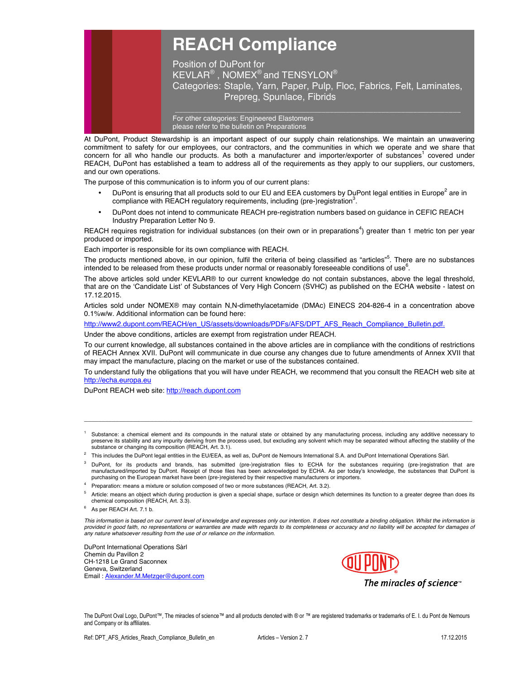

Position of DuPont for  $\overline{\mathsf{KEYLAR}^\circledast}$  ,  $\overline{\mathsf{NOMEX}^\circledast}$  and  $\overline{\mathsf{TENSYLON}^\circledast}$ Categories: Staple, Yarn, Paper, Pulp, Floc, Fabrics, Felt, Laminates, Prepreg, Spunlace, Fibrids

For other categories: Engineered Elastomers please refer to the bulletin on Preparations

At DuPont, Product Stewardship is an important aspect of our supply chain relationships. We maintain an unwavering commitment to safety for our employees, our contractors, and the communities in which we operate and we share that concern for all who handle our products. As both a manufacturer and importer/exporter of substances<sup>1</sup> covered under REACH, DuPont has established a team to address all of the requirements as they apply to our suppliers, our customers, and our own operations.

The purpose of this communication is to inform you of our current plans:

- DuPont is ensuring that all products sold to our EU and EEA customers by DuPont legal entities in Europe<sup>2</sup> are in compliance with REACH regulatory requirements, including (pre-)registration<sup>3</sup>.
- DuPont does not intend to communicate REACH pre-registration numbers based on guidance in CEFIC REACH Industry Preparation Letter No 9.

REACH requires registration for individual substances (on their own or in preparations<sup>4</sup>) greater than 1 metric ton per year produced or imported.

Each importer is responsible for its own compliance with REACH.

The products mentioned above, in our opinion, fulfil the criteria of being classified as "articles"<sup>5</sup>. There are no substances intended to be released from these products under normal or reasonably foreseeable conditions of use<sup>6</sup>.

The above articles sold under KEVLAR® to our current knowledge do not contain substances, above the legal threshold, that are on the 'Candidate List' of Substances of Very High Concern (SVHC) as published on the ECHA website - latest on 17.12.2015.

Articles sold under NOMEX® may contain N,N-dimethylacetamide (DMAc) EINECS 204-826-4 in a concentration above 0.1%w/w. Additional information can be found here:

http://www2.dupont.com/REACH/en\_US/assets/downloads/PDFs/AFS/DPT\_AFS\_Reach\_Compliance\_Bulletin.pdf.

Under the above conditions, articles are exempt from registration under REACH.

To our current knowledge, all substances contained in the above articles are in compliance with the conditions of restrictions of REACH Annex XVII. DuPont will communicate in due course any changes due to future amendments of Annex XVII that may impact the manufacture, placing on the market or use of the substances contained.

To understand fully the obligations that you will have under REACH, we recommend that you consult the REACH web site at http://echa.europa.eu

DuPont REACH web site: http://reach.dupont.com

1 Substance: a chemical element and its compounds in the natural state or obtained by any manufacturing process, including any additive necessary to preserve its stability and any impurity deriving from the process used, but excluding any solvent which may be separated without affecting the stability of the substance or changing its composition (REACH, Art. 3.1).

\_\_\_\_\_\_\_\_\_\_\_\_\_\_\_\_\_\_\_\_\_\_\_\_\_\_\_\_\_\_\_\_\_\_\_\_\_\_\_\_\_\_\_\_\_\_\_\_\_\_\_\_\_\_\_\_\_\_\_\_\_\_\_\_\_\_\_\_\_\_\_\_\_\_\_\_\_\_\_\_\_\_\_\_\_\_\_\_\_\_\_\_\_\_\_\_\_\_\_\_\_\_\_\_\_\_\_\_\_\_\_

- $^2$  This includes the DuPont legal entities in the EU/EEA, as well as, DuPont de Nemours International S.A. and DuPont International Operations Sàrl.
- <sup>3</sup> DuPont, for its products and brands, has submitted (pre-)registration files to ECHA for the substances requiring (pre-)registration that are<br>manufactured/imported by DuPont. Receipt of those files has been acknowledged purchasing on the European market have been (pre-)registered by their respective manufacturers or importers.
- 4 Preparation: means a mixture or solution composed of two or more substances (REACH, Art. 3.2).
- <sup>5</sup> Article: means an object which during production is given a special shape, surface or design which determines its function to a greater degree than does its chemical composition (REACH, Art. 3.3).
- 6 As per REACH Art. 7.1 b.

*This information is based on our current level of knowledge and expresses only our intention. It does not constitute a binding obligation. Whilst the information is*  provided in good faith, no representations or warranties are made with regards to its completeness or accuracy and no liability will be accepted for damages of *any nature whatsoever resulting from the use of or reliance on the information.* 

DuPont International Operations Sàrl Chemin du Pavillon 2 CH-1218 Le Grand Saconnex Geneva, Switzerland Email : Alexander.M.Metzger@dupont.com



The miracles of science $<sup>•</sup>$ </sup>

The DuPont Oval Logo, DuPont™, The miracles of science™ and all products denoted with ® or ™ are registered trademarks or trademarks of E. I. du Pont de Nemours and Company or its affiliates.